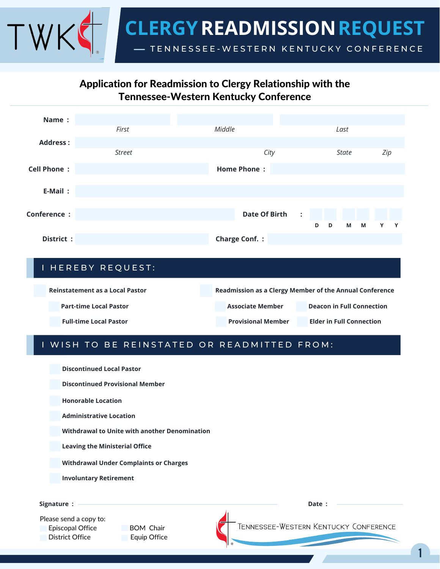

# Application for Readmission to Clergy Relationship with the Tennessee-Western Kentucky Conference

| Name:              |               |                                              |                  |     |
|--------------------|---------------|----------------------------------------------|------------------|-----|
|                    | First         | Middle                                       | Last             |     |
| <b>Address:</b>    |               |                                              |                  |     |
|                    | <b>Street</b> | City                                         | <b>State</b>     | Zip |
| <b>Cell Phone:</b> |               | <b>Home Phone:</b>                           |                  |     |
|                    |               |                                              |                  |     |
| E-Mail:            |               |                                              |                  |     |
|                    |               |                                              |                  |     |
| Conference :       |               | <b>Date Of Birth</b><br>$\ddot{\phantom{1}}$ |                  |     |
|                    |               |                                              | D<br>M<br>M<br>D | Y Y |
| District:          |               | <b>Charge Conf.:</b>                         |                  |     |

### I HEREBY REQUEST:

| <b>Reinstatement as a Local Pastor</b> |  | Readmission as a Clergy Member of the Annual Conference |  |                                  |  |
|----------------------------------------|--|---------------------------------------------------------|--|----------------------------------|--|
| <b>Part-time Local Pastor</b>          |  | <b>Associate Member</b>                                 |  | <b>Deacon in Full Connection</b> |  |
| <b>Full-time Local Pastor</b>          |  | <b>Provisional Member</b>                               |  | <b>Elder in Full Connection</b>  |  |

### I WISH TO BE REINSTATED OR READMITTED FROM:

**Discontinued Local Pastor**

**Discontinued Provisional Member**

**Honorable Location**

**Administrative Location**

**Withdrawal to Unite with another Denomination**

**Leaving the Ministerial Office**

**Withdrawal Under Complaints or Charges**

**Involuntary Retirement**

**Signature :**

Please send a copy to:

Episcopal Office BOM Chair District Office **Equip Office** 

**Date :**

TENNESSEE-WESTERN KENTUCKY CONFERENCE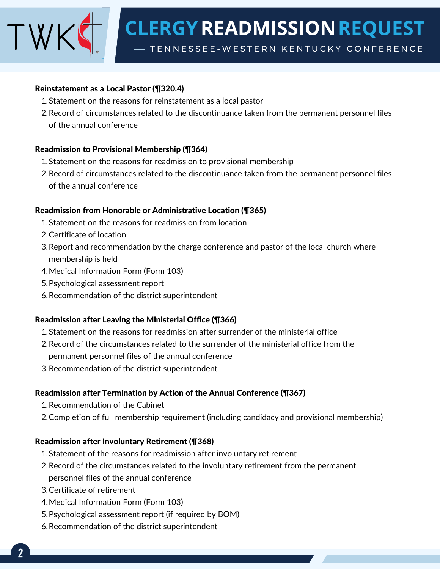**READMISSIONREQUEST CLERGY**

TENNESSEE-WESTERN KENTUCKY CONFERENCE

#### Reinstatement as a Local Pastor (¶320.4)

- 1. Statement on the reasons for reinstatement as a local pastor
- 2. Record of circumstances related to the discontinuance taken from the permanent personnel files of the annual conference

### Readmission to Provisional Membership (¶364)

- 1. Statement on the reasons for readmission to provisional membership
- 2. Record of circumstances related to the discontinuance taken from the permanent personnel files of the annual conference

### Readmission from Honorable or Administrative Location (¶365)

- 1. Statement on the reasons for readmission from location
- 2.Certificate of location
- 3. Report and recommendation by the charge conference and pastor of the local church where membership is held
- Medical Information Form (Form 103) 4.
- Psychological assessment report 5.
- 6. Recommendation of the district superintendent

## Readmission after Leaving the Ministerial Office (¶366)

- 1. Statement on the reasons for readmission after surrender of the ministerial office
- 2. Record of the circumstances related to the surrender of the ministerial office from the permanent personnel files of the annual conference
- 3. Recommendation of the district superintendent

## Readmission after Termination by Action of the Annual Conference (¶367)

- 1. Recommendation of the Cabinet
- Completion of full membership requirement (including candidacy and provisional membership) 2.

## Readmission after Involuntary Retirement (¶368)

- 1. Statement of the reasons for readmission after involuntary retirement
- 2. Record of the circumstances related to the involuntary retirement from the permanent personnel files of the annual conference
- 3. Certificate of retirement
- 4. Medical Information Form (Form 103)
- 5. Psychological assessment report (if required by BOM)
- 6. Recommendation of the district superintendent